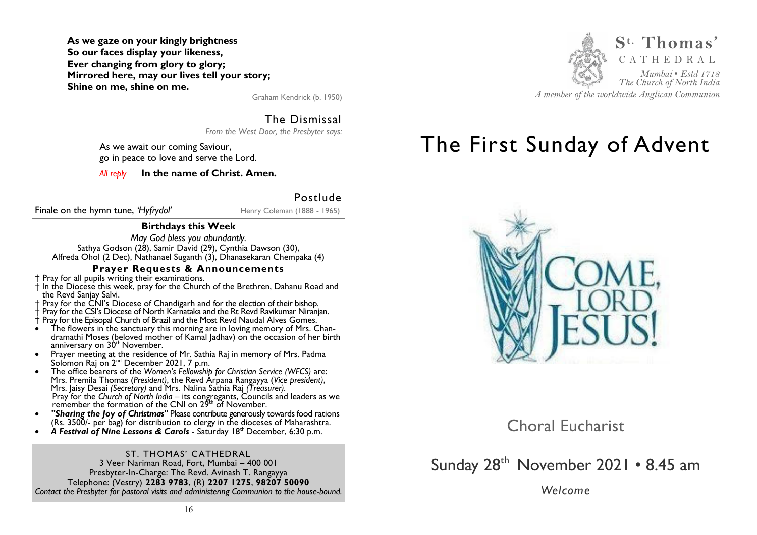**As we gaze on your kingly brightness So our faces display your likeness, Ever changing from glory to glory; Mirrored here, may our lives tell your story; Shine on me, shine on me.** 

Graham Kendrick (b. 1950)

The Dismissal

*From the West Door, the Presbyter says:* 

 As we await our coming Saviour, go in peace to love and serve the Lord.

 *All reply* **In the name of Christ. Amen.** 

Postlude

**Finale on the hymn tune, 'Hyfrydol'** Henry Coleman (1888 - 1965)

## **Birthdays this Week**

*May God bless you abundantly.*  Sathya Godson (28), Samir David (29), Cynthia Dawson (30), Alfreda Ohol (2 Dec), Nathanael Suganth (3), Dhanasekaran Chempaka (4)

#### **Prayer Requests & Announcements**

- † Pray for all pupils writing their examinations.
- † In the Diocese this week, pray for the Church of the Brethren, Dahanu Road and the Revd Sanjay Salvi.
- † Pray for the CNI's Diocese of Chandigarh and for the election of their bishop. † Pray for the CSI's Diocese of North Karnataka and the Rt Revd Ravikumar Niranjan.
- † Pray for the Episopal Church of Brazil and the Most Revd Naudal Alves Gomes.
- $\bullet$  The flowers in the sanctuary this morning are in loving memory of Mrs. Chandramathi Moses (beloved mother of Kamal Jadhav) on the occasion of her birth anniversary on 30th November.
- Prayer meeting at the residence of Mr. Sathia Raj in memory of Mrs. Padma Solomon Raj on 2<sup>nd</sup> December 2021, 7 p.m.
- The office bearers of the *Women's Fellowship for Christian Service (WFCS)* are: Mrs. Premila Thomas (*President)*, the Revd Arpana Rangayya (*Vice president)*, Mrs. Jaisy Desai *(Secretary)* and Mrs. Nalina Sathia Raj *(Treasurer).*  Pray for the *Church of North India* – its congregants, Councils and leaders as we remember the formation of the CNI on  $29<sup>th</sup>$  of November.
- *"Sharing the Joy of Christmas"* Please contribute generously towards food rations (Rs. 3500/- per bag) for distribution to clergy in the dioceses of Maharashtra.
- *A Festival of Nine Lessons & Carols*  Saturday 18th December, 6:30 p.m.

## ST. THOMAS' CATHEDRAL

3 Veer Nariman Road, Fort, Mumbai – 400 001 Presbyter-In-Charge: The Revd. Avinash T. Rangayya Telephone: (Vestry) **2283 9783**, (R) **2207 1275**, **98207 50090**  *Contact the Presbyter for pastoral visits and administering Communion to the house-bound.* 



*A member of the worldwide Anglican Communion* 

# The First Sunday of Advent



Choral Eucharist

Sunday 28<sup>th</sup> November 2021 • 8.45 am

*Welcome*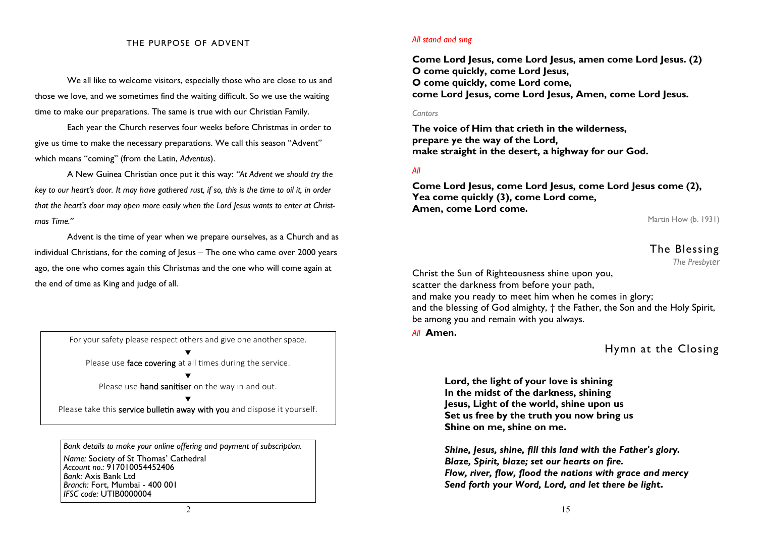#### THE PURPOSE OF ADVENT

 We all like to welcome visitors, especially those who are close to us and those we love, and we sometimes find the waiting difficult. So we use the waiting time to make our preparations. The same is true with our Christian Family.

 Each year the Church reserves four weeks before Christmas in order to give us time to make the necessary preparations. We call this season "Advent" which means "coming" (from the Latin, *Adventus*).

 A New Guinea Christian once put it this way: *"At Advent we should try the key to our heart's door. It may have gathered rust, if so, this is the time to oil it, in order that the heart's door may open more easily when the Lord Jesus wants to enter at Christmas Time."* 

 Advent is the time of year when we prepare ourselves, as a Church and as individual Christians, for the coming of Jesus – The one who came over 2000 years ago, the one who comes again this Christmas and the one who will come again at the end of time as King and judge of all.

> For your safety please respect others and give one another space. ▼

Please use face covering at all times during the service.

▼ Please use **hand sanitiser** on the way in and out.

▼ Please take this service bulletin away with you and dispose it yourself.

*Bank details to make your online offering and payment of subscription. Name:* Society of St Thomas' Cathedral *Account no.:* 917010054452406 *Bank:* Axis Bank Ltd *Branch:* Fort, Mumbai - 400 001 *IFSC code:* UTIB0000004

#### *All stand and sing*

**Come Lord Jesus, come Lord Jesus, amen come Lord Jesus. (2) O come quickly, come Lord Jesus, O come quickly, come Lord come, come Lord Jesus, come Lord Jesus, Amen, come Lord Jesus.** 

#### *Cantors*

**The voice of Him that crieth in the wilderness, prepare ye the way of the Lord, make straight in the desert, a highway for our God.** 

#### *All*

**Come Lord Jesus, come Lord Jesus, come Lord Jesus come (2), Yea come quickly (3), come Lord come, Amen, come Lord come.** 

Martin How (b. 1931)

## The Blessing

*The Presbyter* 

Christ the Sun of Righteousness shine upon you, scatter the darkness from before your path, and make you ready to meet him when he comes in glory; and the blessing of God almighty, † the Father, the Son and the Holy Spirit, be among you and remain with you always.

#### *All* **Amen.**

Hymn at the Closing

**Lord, the light of your love is shining In the midst of the darkness, shining Jesus, Light of the world, shine upon us Set us free by the truth you now bring us Shine on me, shine on me.** 

*Shine, Jesus, shine, fill this land with the Father's glory. Blaze, Spirit, blaze; set our hearts on fire. Flow, river, flow, flood the nations with grace and mercy Send forth your Word, Lord, and let there be ligh***t.**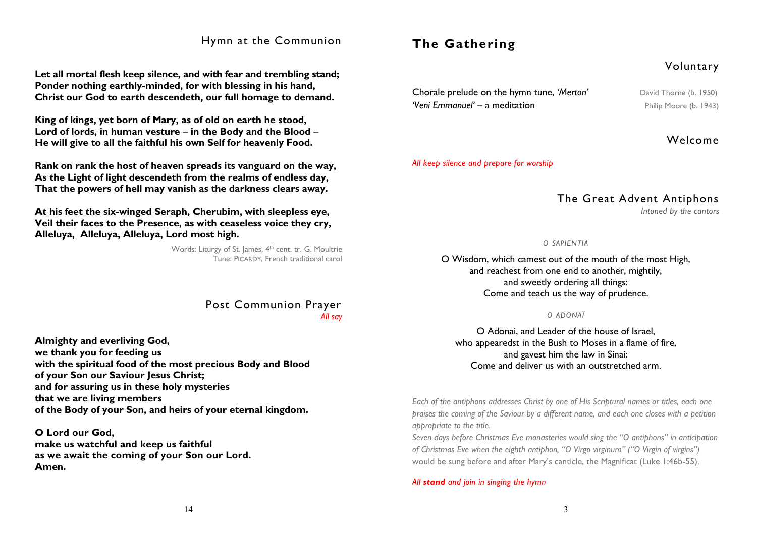## Hymn at the Communion

**Let all mortal flesh keep silence, and with fear and trembling stand; Ponder nothing earthly-minded, for with blessing in his hand, Christ our God to earth descendeth, our full homage to demand.** 

**King of kings, yet born of Mary, as of old on earth he stood, Lord of lords, in human vesture** – **in the Body and the Blood** – **He will give to all the faithful his own Self for heavenly Food.** 

**Rank on rank the host of heaven spreads its vanguard on the way, As the Light of light descendeth from the realms of endless day, That the powers of hell may vanish as the darkness clears away.** 

**At his feet the six-winged Seraph, Cherubim, with sleepless eye, Veil their faces to the Presence, as with ceaseless voice they cry, Alleluya, Alleluya, Alleluya, Lord most high.** 

> Words: Liturgy of St. James, 4<sup>th</sup> cent. tr. G. Moultrie Tune: PICARDY, French traditional carol

#### Post Communion Prayer *All say*

**Almighty and everliving God, we thank you for feeding us with the spiritual food of the most precious Body and Blood of your Son our Saviour Jesus Christ; and for assuring us in these holy mysteries that we are living members of the Body of your Son, and heirs of your eternal kingdom.** 

**O Lord our God, make us watchful and keep us faithful as we await the coming of your Son our Lord. Amen.** 

# **The Gathering**

## Voluntary

| Chorale prelude on the hymn tune, 'Merton' | David Thorne (b. 1950) |
|--------------------------------------------|------------------------|
| 'Veni Emmanuel' - a meditation             | Philip Moore (b. 1943) |

## Welcome

*All keep silence and prepare for worship* 

## The Great Advent Antiphons

*Intoned by the cantors* 

#### *O SAPIENTIA*

O Wisdom, which camest out of the mouth of the most High, and reachest from one end to another, mightily, and sweetly ordering all things: Come and teach us the way of prudence.

#### *O ADONAÏ*

O Adonai, and Leader of the house of Israel, who appearedst in the Bush to Moses in a flame of fire, and gavest him the law in Sinai: Come and deliver us with an outstretched arm.

*Each of the antiphons addresses Christ by one of His Scriptural names or titles, each one praises the coming of the Saviour by a different name, and each one closes with a petition appropriate to the title.* 

*Seven days before Christmas Eve monasteries would sing the "O antiphons" in anticipation of Christmas Eve when the eighth antiphon, "O Virgo virginum" ("O Virgin of virgins")*  would be sung before and after Mary's canticle, the Magnificat (Luke 1:46b-55).

#### *All stand and join in singing the hymn*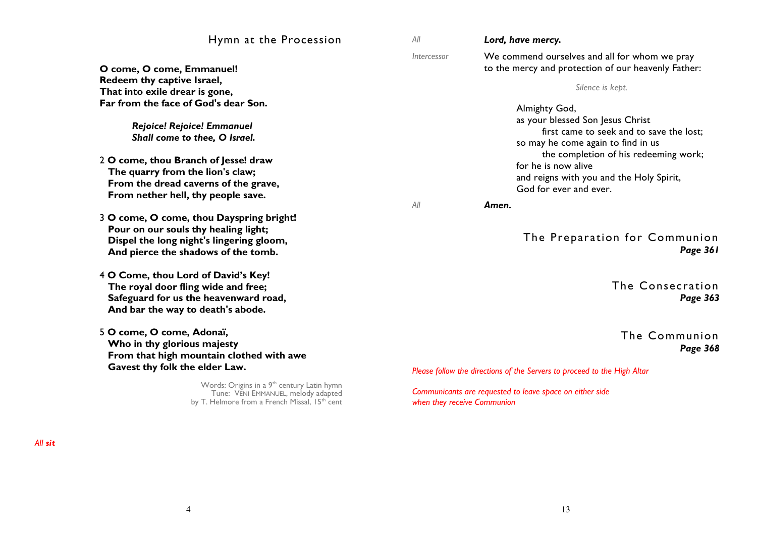| Hymn at the Procession                                                                                                                                              | All         | Lord, have mercy.                                                                                                  |  |
|---------------------------------------------------------------------------------------------------------------------------------------------------------------------|-------------|--------------------------------------------------------------------------------------------------------------------|--|
| O come, O come, Emmanuel!                                                                                                                                           | Intercessor | We commend ourselves and all for whom we pray<br>to the mercy and protection of our heavenly Father:               |  |
| Redeem thy captive Israel,<br>That into exile drear is gone,                                                                                                        |             | Silence is kept.                                                                                                   |  |
| Far from the face of God's dear Son.                                                                                                                                |             | Almighty God,                                                                                                      |  |
| <b>Rejoice! Rejoice! Emmanuel</b><br>Shall come to thee, O Israel.                                                                                                  |             | as your blessed Son Jesus Christ<br>first came to seek and to save the lost;<br>so may he come again to find in us |  |
| 2 O come, thou Branch of Jesse! draw                                                                                                                                |             | the completion of his redeeming work;<br>for he is now alive                                                       |  |
| The quarry from the lion's claw;<br>From the dread caverns of the grave,                                                                                            |             | and reigns with you and the Holy Spirit,                                                                           |  |
| From nether hell, thy people save.                                                                                                                                  | All         | God for ever and ever.<br>Amen.                                                                                    |  |
| 3 O come, O come, thou Dayspring bright!<br>Pour on our souls thy healing light;<br>Dispel the long night's lingering gloom,<br>And pierce the shadows of the tomb. |             | The Preparation for Communion<br>Page 361                                                                          |  |
| 4 O Come, thou Lord of David's Key!<br>The royal door fling wide and free;<br>Safeguard for us the heavenward road,<br>And bar the way to death's abode.            |             | The Consecration<br>Page 363                                                                                       |  |
| 5 O come, O come, Adonaï,<br>Who in thy glorious majesty<br>From that high mountain clothed with awe                                                                |             | The Communion<br>Page 368                                                                                          |  |
| Gavest thy folk the elder Law.                                                                                                                                      |             | Please follow the directions of the Servers to proceed to the High Altar                                           |  |
| Words: Origins in a 9 <sup>th</sup> century Latin hymn<br>Tune: VENI EMMANUEL, melody adapted<br>by T. Helmore from a French Missal, 15 <sup>th</sup> cent          |             | Communicants are requested to leave space on either side<br>when they receive Communion                            |  |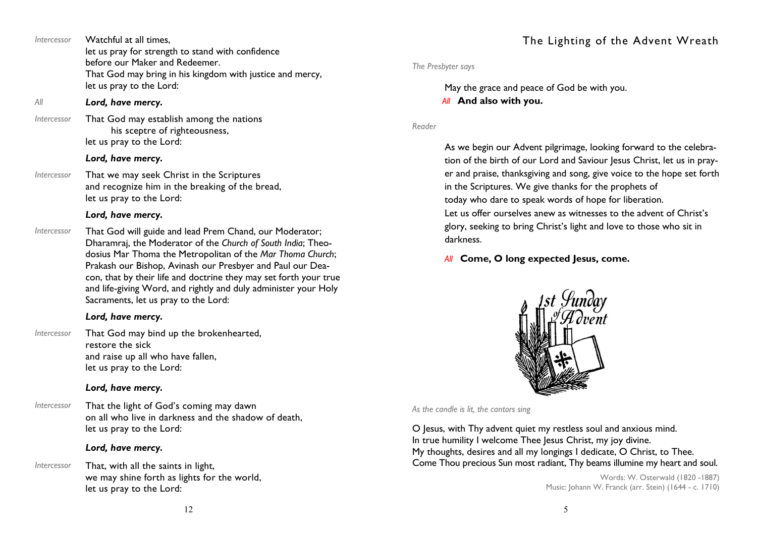| Intercessor | Watchful at all times,<br>let us pray for strength to stand with confidence<br>before our Maker and Redeemer.<br>That God may bring in his kingdom with justice and mercy,<br>let us pray to the Lord:                                                                                                                                                                                                                              |
|-------------|-------------------------------------------------------------------------------------------------------------------------------------------------------------------------------------------------------------------------------------------------------------------------------------------------------------------------------------------------------------------------------------------------------------------------------------|
| All         | Lord, have mercy.                                                                                                                                                                                                                                                                                                                                                                                                                   |
| Intercessor | That God may establish among the nations<br>his sceptre of righteousness,<br>let us pray to the Lord:                                                                                                                                                                                                                                                                                                                               |
|             | Lord, have mercy.                                                                                                                                                                                                                                                                                                                                                                                                                   |
| Intercessor | That we may seek Christ in the Scriptures<br>and recognize him in the breaking of the bread,<br>let us pray to the Lord:                                                                                                                                                                                                                                                                                                            |
|             | Lord, have mercy.                                                                                                                                                                                                                                                                                                                                                                                                                   |
| Intercessor | That God will guide and lead Prem Chand, our Moderator;<br>Dharamraj, the Moderator of the Church of South India; Theo-<br>dosius Mar Thoma the Metropolitan of the Mar Thoma Church;<br>Prakash our Bishop, Avinash our Presbyer and Paul our Dea-<br>con, that by their life and doctrine they may set forth your true<br>and life-giving Word, and rightly and duly administer your Holy<br>Sacraments, let us pray to the Lord: |
|             | Lord, have mercy.                                                                                                                                                                                                                                                                                                                                                                                                                   |
| Intercessor | That God may bind up the brokenhearted,<br>restore the sick<br>and raise up all who have fallen,<br>let us pray to the Lord:                                                                                                                                                                                                                                                                                                        |
|             | Lord, have mercy.                                                                                                                                                                                                                                                                                                                                                                                                                   |
| Intercessor | That the light of God's coming may dawn                                                                                                                                                                                                                                                                                                                                                                                             |

on all who live in darkness and the shadow of death, let us pray to the Lord:

#### *Lord, have mercy.*

*Intercessor* That, with all the saints in light, we may shine forth as lights for the world, let us pray to the Lord:

# The Lighting of the Advent Wreath

#### *The Presbyter says*

May the grace and peace of God be with you.

*All* **And also with you.** 

*Reader*

As we begin our Advent pilgrimage, looking forward to the celebration of the birth of our Lord and Saviour Jesus Christ, let us in prayer and praise, thanksgiving and song, give voice to the hope set forth in the Scriptures. We give thanks for the prophets of today who dare to speak words of hope for liberation. Let us offer ourselves anew as witnesses to the advent of Christ's glory, seeking to bring Christ's light and love to those who sit in darkness.

 *All* **Come, O long expected Jesus, come.** 



*As the candle is lit, the cantors sing* 

O Jesus, with Thy advent quiet my restless soul and anxious mind. In true humility I welcome Thee Jesus Christ, my joy divine. My thoughts, desires and all my longings I dedicate, O Christ, to Thee. Come Thou precious Sun most radiant, Thy beams illumine my heart and soul.

> Words: W. Osterwald (1820 -1887) Music: Johann W. Franck (arr. Stein) (1644 - c. 1710)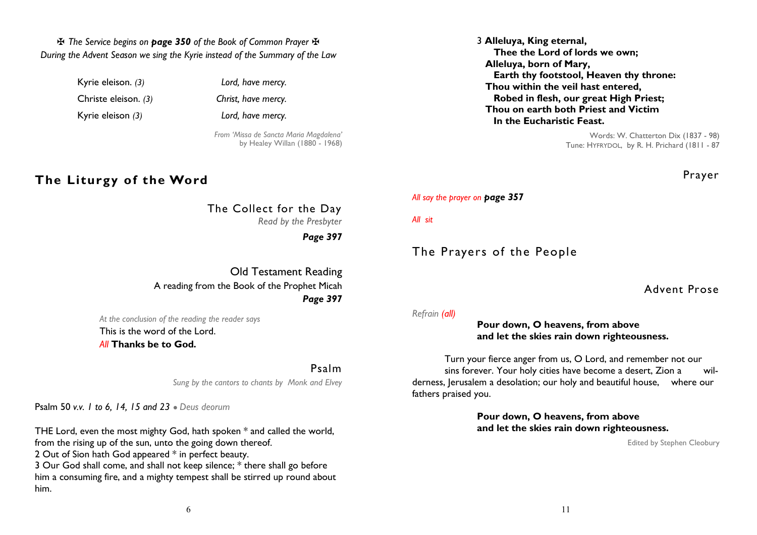✠ *The Service begins on page 350 of the Book of Common Prayer* ✠ *During the Advent Season we sing the Kyrie instead of the Summary of the Law* 

Kyrie eleison. *(3) Lord, have mercy.* 

Christe eleison. *(3) Christ, have mercy.*  Kyrie eleison *(3) Lord, have mercy.* 

> *From 'Missa de Sancta Maria Magdalena'* by Healey Willan (1880 - 1968)

# **The Liturgy of the Word**

The Collect for the Day *Read by the Presbyter* 

*Page 397* 

Old Testament Reading A reading from the Book of the Prophet Micah *Page 397* 

 *At the conclusion of the reading the reader says*  This is the word of the Lord.  *All* **Thanks be to God***.* 

> Psalm *Sung by the cantors to chants by Monk and Elvey*

Psalm 50 *v.v. 1 to 6, 14, 15 and 23 ● Deus deorum* 

THE Lord, even the most mighty God, hath spoken \* and called the world, from the rising up of the sun, unto the going down thereof.

2 Out of Sion hath God appeared \* in perfect beauty.

3 Our God shall come, and shall not keep silence; \* there shall go before him a consuming fire, and a mighty tempest shall be stirred up round about him.

3 **Alleluya, King eternal, Thee the Lord of lords we own; Alleluya, born of Mary, Earth thy footstool, Heaven thy throne: Thou within the veil hast entered, Robed in flesh, our great High Priest; Thou on earth both Priest and Victim In the Eucharistic Feast.** 

> Words: W. Chatterton Dix (1837 - 98) Tune: HYFRYDOL, by R. H. Prichard (1811 - 87

> > Prayer

*All say the prayer on page 357* 

*All sit* 

The Prayers of the People

Advent Prose

#### *Refrain (all)*

**Pour down, O heavens, from above and let the skies rain down righteousness.** 

 Turn your fierce anger from us, O Lord, and remember not our sins forever. Your holy cities have become a desert, Zion a wilderness, Jerusalem a desolation; our holy and beautiful house, where our fathers praised you.

> **Pour down, O heavens, from above and let the skies rain down righteousness.**

> > Edited by Stephen Cleobury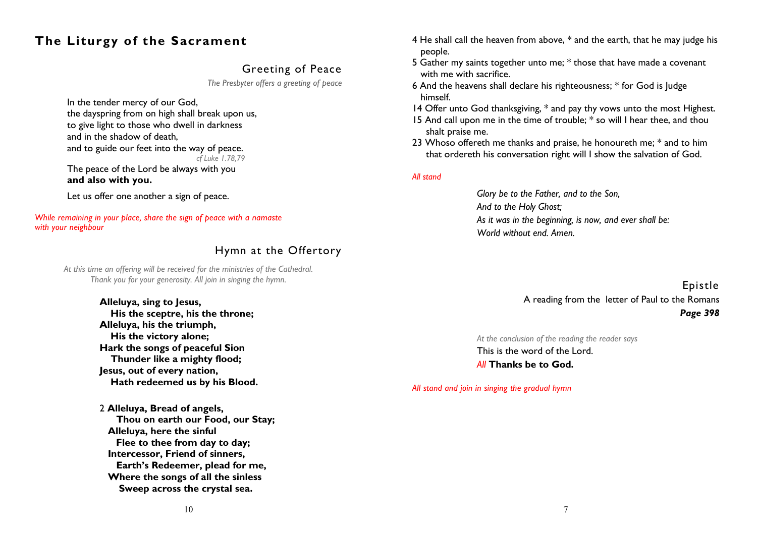# **The Liturgy of the Sacrament**

## Greeting of Peace

*The Presbyter offers a greeting of peace* 

In the tender mercy of our God,

the dayspring from on high shall break upon us, to give light to those who dwell in darkness and in the shadow of death, and to guide our feet into the way of peace. *cf Luke 1.78,79*

 The peace of the Lord be always with you  **and also with you.** 

Let us offer one another a sign of peace.

*While remaining in your place, share the sign of peace with a namaste with your neighbour* 

## Hymn at the Offertory

*At this time an offering will be received for the ministries of the Cathedral. Thank you for your generosity. All join in singing the hymn.* 

> **Alleluya, sing to Jesus, His the sceptre, his the throne; Alleluya, his the triumph, His the victory alone; Hark the songs of peaceful Sion Thunder like a mighty flood; Jesus, out of every nation, Hath redeemed us by his Blood.**

2 **Alleluya, Bread of angels, Thou on earth our Food, our Stay; Alleluya, here the sinful Flee to thee from day to day; Intercessor, Friend of sinners, Earth's Redeemer, plead for me, Where the songs of all the sinless Sweep across the crystal sea.** 

- 4 He shall call the heaven from above, \* and the earth, that he may judge his people.
- 5 Gather my saints together unto me; \* those that have made a covenant with me with sacrifice.
- 6 And the heavens shall declare his righteousness; \* for God is Judge himself.
- 14 Offer unto God thanksgiving,  $*$  and pay thy vows unto the most Highest.
- 15 And call upon me in the time of trouble; \* so will I hear thee, and thou shalt praise me.
- 23 Whoso offereth me thanks and praise, he honoureth me; \* and to him that ordereth his conversation right will I show the salvation of God.

#### *All stand*

*Glory be to the Father, and to the Son, And to the Holy Ghost; As it was in the beginning, is now, and ever shall be: World without end. Amen.* 

> Epistle A reading from the letter of Paul to the Romans *Page 398*

 *At the conclusion of the reading the reader says*  This is the word of the Lord.  *All* **Thanks be to God***.* 

*All stand and join in singing the gradual hymn*